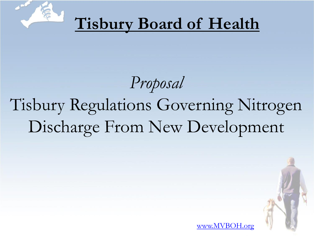

# **Tisbury Board of Health**

# *Proposal* Tisbury Regulations Governing Nitrogen Discharge From New Development



[www.MVBOH.org](http://www.MVBOH.org)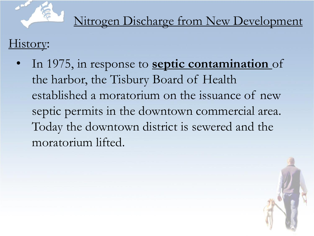

Nitrogen Discharge from New Development

History:

• In 1975, in response to **septic contamination** of the harbor, the Tisbury Board of Health established a moratorium on the issuance of new septic permits in the downtown commercial area. Today the downtown district is sewered and the moratorium lifted.

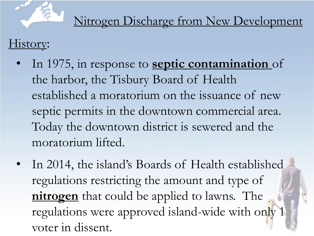

### History:

- In 1975, in response to **septic contamination** of the harbor, the Tisbury Board of Health established a moratorium on the issuance of new septic permits in the downtown commercial area. Today the downtown district is sewered and the moratorium lifted.
- In 2014, the island's Boards of Health established regulations restricting the amount and type of **nitrogen** that could be applied to lawns. The regulations were approved island-wide with only 1 voter in dissent.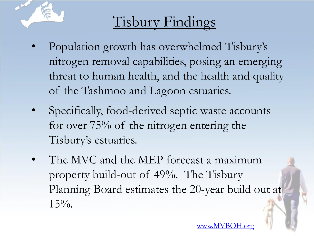

# Tisbury Findings

- Population growth has overwhelmed Tisbury's nitrogen removal capabilities, posing an emerging threat to human health, and the health and quality of the Tashmoo and Lagoon estuaries.
- Specifically, food-derived septic waste accounts for over 75% of the nitrogen entering the Tisbury's estuaries.
- The MVC and the MEP forecast a maximum property build-out of 49%. The Tisbury Planning Board estimates the 20-year build out at  $15\%$ .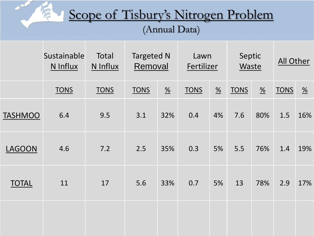#### Scope of Tisbury's Nitrogen Problem (Annual Data)

and .

富

|                | Sustainable<br>N Influx | Total<br>N Influx | <b>Targeted N</b><br>Removal |                       | Lawn<br>Fertilizer |                  | Septic<br>Waste |                       | All Other   |                          |
|----------------|-------------------------|-------------------|------------------------------|-----------------------|--------------------|------------------|-----------------|-----------------------|-------------|--------------------------|
|                | <b>TONS</b>             | <b>TONS</b>       | <b>TONS</b>                  | $\frac{\%}{\sqrt{2}}$ | <b>TONS</b>        | $\underline{\%}$ | <b>TONS</b>     | $\frac{\%}{\sqrt{2}}$ | <b>TONS</b> | $\frac{\%}{\phantom{a}}$ |
| <b>TASHMOO</b> | 6.4                     | 9.5               | 3.1                          | 32%                   | 0.4                | 4%               | 7.6             | 80%                   | 1.5         | 16%                      |
| <b>LAGOON</b>  | 4.6                     | 7.2               | 2.5                          | 35%                   | 0.3                | 5%               | 5.5             | 76%                   | 1.4         | 19%                      |
| <b>TOTAL</b>   | 11                      | 17                | 5.6                          | 33%                   | 0.7                | 5%               | 13              | 78%                   | 2.9         | 17%                      |
|                |                         |                   |                              |                       |                    |                  |                 |                       |             |                          |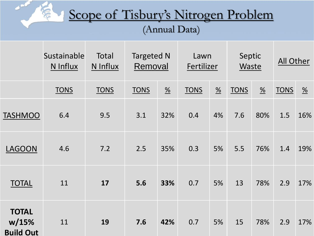#### Scope of Tisbury's Nitrogen Problem (Annual Data)

**SAMP** 

豪

|                                           | Sustainable<br>N Influx | Total<br>N Influx | <b>Targeted N</b><br>Lawn<br>Removal<br>Fertilizer |                       | Septic<br>Waste |                       | All Other   |                       |             |                       |
|-------------------------------------------|-------------------------|-------------------|----------------------------------------------------|-----------------------|-----------------|-----------------------|-------------|-----------------------|-------------|-----------------------|
|                                           | <b>TONS</b>             | <b>TONS</b>       | <b>TONS</b>                                        | $\frac{\%}{\sqrt{2}}$ | <b>TONS</b>     | $\frac{\%}{\sqrt{2}}$ | <b>TONS</b> | $\frac{\%}{\sqrt{2}}$ | <b>TONS</b> | $\frac{\%}{\sqrt{2}}$ |
| <b>TASHMOO</b>                            | 6.4                     | 9.5               | 3.1                                                | 32%                   | 0.4             | 4%                    | 7.6         | 80%                   | 1.5         | 16%                   |
| <b>LAGOON</b>                             | 4.6                     | 7.2               | 2.5                                                | 35%                   | 0.3             | 5%                    | 5.5         | 76%                   | 1.4         | 19%                   |
| <b>TOTAL</b>                              | 11                      | 17                | 5.6                                                | 33%                   | 0.7             | 5%                    | 13          | 78%                   | 2.9         | 17%                   |
| <b>TOTAL</b><br>w/15%<br><b>Build Out</b> | 11                      | 19                | 7.6                                                | 42%                   | 0.7             | 5%                    | 15          | 78%                   | 2.9         | 17%                   |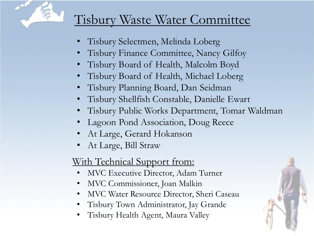

#### Tisbury Waste Water Committee

- Tisbury Selectmen, Melinda Loberg
- Tisbury Finance Committee, Nancy Gilfoy
- Tisbury Board of Health, Malcolm Boyd
- Tisbury Board of Health, Michael Loberg
- Tisbury Planning Board, Dan Seidman
- Tisbury Shellfish Constable, Danielle Ewart
- Tisbury Public Works Department, Tomar Waldman
- Lagoon Pond Association, Doug Reece
- At Large, Gerard Hokanson
- At Large, Bill Straw

#### With Technical Support from:

- MVC Executive Director, Adam Turner
- MVC Commissioner, Joan Malkin
- MVC Water Resource Director, Sheri Caseau
- Tisbury Town Administrator, Jay Grande
- Tisbury Health Agent, Maura Valley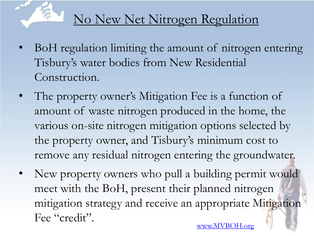

# No New Net Nitrogen Regulation

- BoH regulation limiting the amount of nitrogen entering Tisbury's water bodies from New Residential Construction.
- The property owner's Mitigation Fee is a function of amount of waste nitrogen produced in the home, the various on-site nitrogen mitigation options selected by the property owner, and Tisbury's minimum cost to remove any residual nitrogen entering the groundwater.
- New property owners who pull a building permit would meet with the BoH, present their planned nitrogen mitigation strategy and receive an appropriate Mitigation Fee "credit".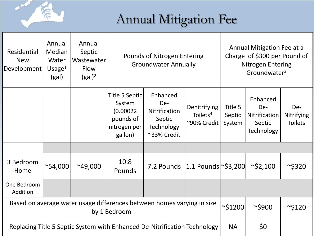# Annual Mitigation Fee

**SALE** 

| Residential<br><b>New</b><br>Development                                               | Annual<br>Median<br>Water<br>Usage $1$<br>(gal) | Annual<br>Septic<br>Wastewater<br><b>Flow</b><br>$(gal)^2$ |                                                                               | Pounds of Nitrogen Entering<br><b>Groundwater Annually</b>              |                                                            | Annual Mitigation Fee at a<br>Charge of \$300 per Pound of<br><b>Nitrogen Entering</b><br>Groundwater <sup>3</sup> |                                                                 |                                     |
|----------------------------------------------------------------------------------------|-------------------------------------------------|------------------------------------------------------------|-------------------------------------------------------------------------------|-------------------------------------------------------------------------|------------------------------------------------------------|--------------------------------------------------------------------------------------------------------------------|-----------------------------------------------------------------|-------------------------------------|
|                                                                                        |                                                 |                                                            | Title 5 Septic<br>System<br>(0.00022)<br>pounds of<br>nitrogen per<br>gallon) | Enhanced<br>De-<br>Nitrification<br>Septic<br>Technology<br>~33% Credit | <b>Denitrifying</b><br>Toilets <sup>4</sup><br>~90% Credit | Title 5<br>Septic<br>System                                                                                        | Enhanced<br>De-<br><b>Nitrification</b><br>Septic<br>Technology | De-<br>Nitrifying<br><b>Toilets</b> |
|                                                                                        |                                                 |                                                            |                                                                               |                                                                         |                                                            |                                                                                                                    |                                                                 |                                     |
| 3 Bedroom<br>Home                                                                      | $^{\sim}54,000$                                 | $^{\sim}49,000$                                            | 10.8<br>Pounds                                                                | 7.2 Pounds $ 1.1$ Pounds $\approx$ \$3,200                              |                                                            |                                                                                                                    | $\sim$ \$2,100                                                  | $\sim$ \$320                        |
| One Bedroom<br>Addition                                                                |                                                 |                                                            |                                                                               |                                                                         |                                                            |                                                                                                                    |                                                                 |                                     |
| Based on average water usage differences between homes varying in size<br>by 1 Bedroom |                                                 |                                                            |                                                                               |                                                                         |                                                            | $\sim$ \$1200                                                                                                      | $\sim$ \$900                                                    | $\sim$ \$120                        |
| Replacing Title 5 Septic System with Enhanced De-Nitrification Technology              |                                                 |                                                            |                                                                               |                                                                         |                                                            | <b>NA</b>                                                                                                          | \$0                                                             |                                     |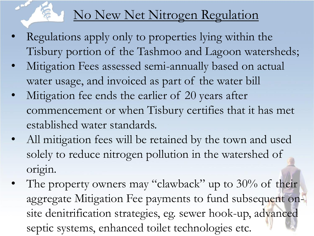## No New Net Nitrogen Regulation

- Regulations apply only to properties lying within the Tisbury portion of the Tashmoo and Lagoon watersheds;
- Mitigation Fees assessed semi-annually based on actual water usage, and invoiced as part of the water bill
- Mitigation fee ends the earlier of 20 years after commencement or when Tisbury certifies that it has met established water standards.
- All mitigation fees will be retained by the town and used solely to reduce nitrogen pollution in the watershed of origin.
- The property owners may "clawback" up to  $30\%$  of their aggregate Mitigation Fee payments to fund subsequent onsite denitrification strategies, eg. sewer hook-up, advanced septic systems, enhanced toilet technologies etc.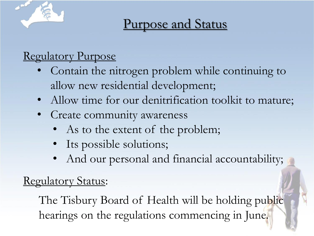

# Purpose and Status

#### Regulatory Purpose

- Contain the nitrogen problem while continuing to allow new residential development;
- Allow time for our denitrification toolkit to mature;
- Create community awareness
	- As to the extent of the problem;
	- Its possible solutions;
	- And our personal and financial accountability;

#### Regulatory Status:

The Tisbury Board of Health will be holding public hearings on the regulations commencing in June.